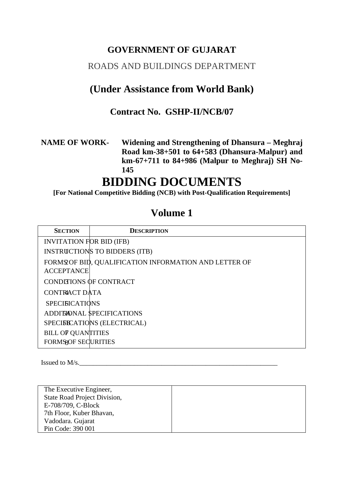# **GOVERNMENT OF GUJARAT**

# ROADS AND BUILDINGS DEPARTMENT

# **(Under Assistance from World Bank)**

# **Contract No. GSHP-II/NCB/07**

## **NAME OF WORK- Widening and Strengthening of Dhansura – Meghraj Road km-38+501 to 64+583 (Dhansura-Malpur) and km-67+711 to 84+986 (Malpur to Meghraj) SH No-145**

# **BIDDING DOCUMENTS**

**[For National Competitive Bidding (NCB) with Post-Qualification Requirements]**

# **Volume 1**

| <b>SECTION</b>                  | <b>DESCRIPTION</b>                                    |
|---------------------------------|-------------------------------------------------------|
| <b>INVITATION FOR BID (IFB)</b> |                                                       |
|                                 | INSTRUCTIONS TO BIDDERS (ITB)                         |
|                                 | FORMS OF BID, QUALIFICATION INFORMATION AND LETTER OF |
| <b>ACCEPTANCE</b>               |                                                       |
| CONDITIONS OF CONTRACT          |                                                       |
| CONTRACT DATA                   |                                                       |
| <b>SPECIFICATIONS</b>           |                                                       |
|                                 | <b>ADDITIONAL SPECIFICATIONS</b>                      |
|                                 | SPECIFICATIONS (ELECTRICAL)                           |
| <b>BILL OF QUANTITIES</b>       |                                                       |
| <b>FORMS SECURITIES</b>         |                                                       |

Issued to M/s.

The Executive Engineer, State Road Project Division, E-708/709, C-Block 7th Floor, Kuber Bhavan, Vadodara. Gujarat Pin Code: 390 001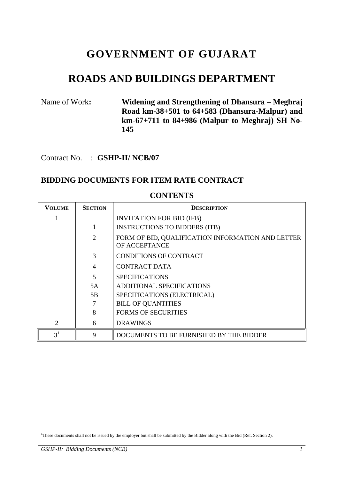# **GOVERNMENT OF GUJARAT**

# **ROADS AND BUILDINGS DEPARTMENT**

## Name of Work**: Widening and Strengthening of Dhansura – Meghraj Road km-38+501 to 64+583 (Dhansura-Malpur) and km-67+711 to 84+986 (Malpur to Meghraj) SH No-145**

Contract No. : **GSHP-II/ NCB/07** 

### **BIDDING DOCUMENTS FOR ITEM RATE CONTRACT**

| <b>VOLUME</b>               | <b>SECTION</b>              | <b>DESCRIPTION</b>                                                 |
|-----------------------------|-----------------------------|--------------------------------------------------------------------|
|                             |                             | <b>INVITATION FOR BID (IFB)</b>                                    |
|                             |                             | <b>INSTRUCTIONS TO BIDDERS (ITB)</b>                               |
|                             | $\mathcal{D}_{\mathcal{L}}$ | FORM OF BID, QUALIFICATION INFORMATION AND LETTER<br>OF ACCEPTANCE |
|                             | $\mathcal{F}$               | <b>CONDITIONS OF CONTRACT</b>                                      |
|                             | 4                           | <b>CONTRACT DATA</b>                                               |
|                             | $\overline{5}$              | <b>SPECIFICATIONS</b>                                              |
|                             | 5A                          | <b>ADDITIONAL SPECIFICATIONS</b>                                   |
|                             | 5B                          | SPECIFICATIONS (ELECTRICAL)                                        |
|                             |                             | <b>BILL OF QUANTITIES</b>                                          |
|                             | 8                           | <b>FORMS OF SECURITIES</b>                                         |
| $\mathcal{D}_{\mathcal{L}}$ | 6                           | <b>DRAWINGS</b>                                                    |
| 3 <sup>1</sup>              | 9                           | DOCUMENTS TO BE FURNISHED BY THE BIDDER                            |

#### **CONTENTS**

<sup>-</sup>1 These documents shall not be issued by the employer but shall be submitted by the Bidder along with the Bid (Ref. Section 2).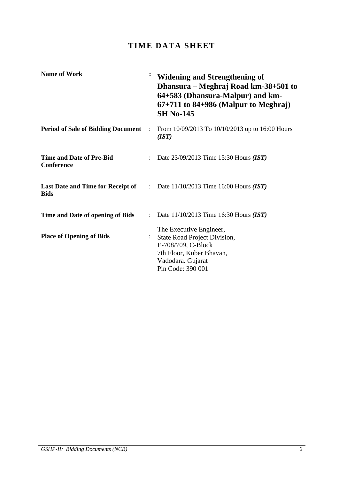# **TIME DATA SHEET**

| <b>Name of Work</b>                                     | $\ddot{\cdot}$       | <b>Widening and Strengthening of</b><br>Dhansura – Meghraj Road km-38+501 to<br>64+583 (Dhansura-Malpur) and km-<br>$67+711$ to 84+986 (Malpur to Meghraj)<br><b>SH No-145</b> |
|---------------------------------------------------------|----------------------|--------------------------------------------------------------------------------------------------------------------------------------------------------------------------------|
| <b>Period of Sale of Bidding Document</b>               | $\ddot{\phantom{a}}$ | From 10/09/2013 To 10/10/2013 up to 16:00 Hours<br>(IST)                                                                                                                       |
| <b>Time and Date of Pre-Bid</b><br><b>Conference</b>    | $\ddot{\phantom{a}}$ | Date 23/09/2013 Time 15:30 Hours (IST)                                                                                                                                         |
| <b>Last Date and Time for Receipt of</b><br><b>Bids</b> |                      | : Date $11/10/2013$ Time 16:00 Hours ( <i>IST</i> )                                                                                                                            |
| Time and Date of opening of Bids                        | $\mathcal{L}$        | Date $11/10/2013$ Time 16:30 Hours (IST)                                                                                                                                       |
| <b>Place of Opening of Bids</b>                         |                      | The Executive Engineer,<br><b>State Road Project Division,</b><br>E-708/709, C-Block<br>7th Floor, Kuber Bhavan,<br>Vadodara. Gujarat<br>Pin Code: 390 001                     |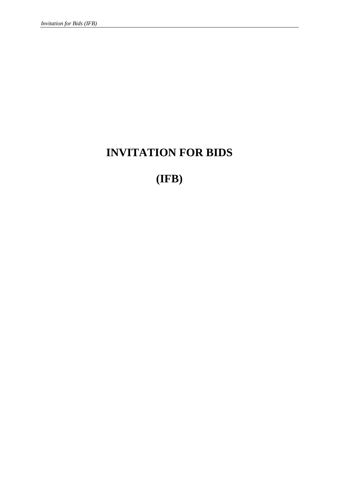# **INVITATION FOR BIDS**

# **(IFB)**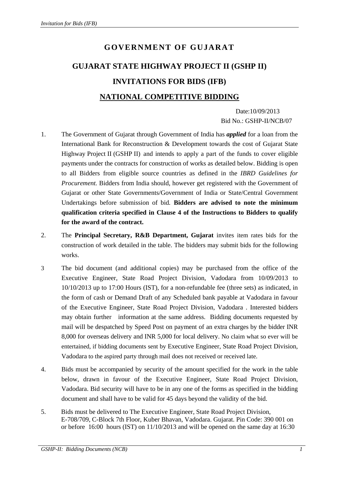# **GOVERNMENT OF GUJARAT GUJARAT STATE HIGHWAY PROJECT II (GSHP II) INVITATIONS FOR BIDS (IFB) NATIONAL COMPETITIVE BIDDING**

 Date:10/09/2013 Bid No.: GSHP-II/NCB/07

- 1. The Government of Gujarat through Government of India has *applied* for a loan from the International Bank for Reconstruction & Development towards the cost of Gujarat State Highway Project II (GSHP II) and intends to apply a part of the funds to cover eligible payments under the contracts for construction of works as detailed below. Bidding is open to all Bidders from eligible source countries as defined in the *IBRD Guidelines for Procurement.* Bidders from India should, however get registered with the Government of Gujarat or other State Governments/Government of India or State/Central Government Undertakings before submission of bid*.* **Bidders are advised to note the minimum qualification criteria specified in Clause 4 of the Instructions to Bidders to qualify for the award of the contract.**
- 2. The **Principal Secretary, R&B Department, Gujarat** invites item rates bids for the construction of work detailed in the table. The bidders may submit bids for the following works.
- 3 The bid document (and additional copies) may be purchased from the office of the Executive Engineer, State Road Project Division, Vadodara from 10/09/2013 to 10/10/2013 up to 17:00 Hours (IST), for a non-refundable fee (three sets) as indicated, in the form of cash or Demand Draft of any Scheduled bank payable at Vadodara in favour of the Executive Engineer, State Road Project Division, Vadodara . Interested bidders may obtain further information at the same address. Bidding documents requested by mail will be despatched by Speed Post on payment of an extra charges by the bidder INR 8,000 for overseas delivery and INR 5,000 for local delivery. No claim what so ever will be entertained, if bidding documents sent by Executive Engineer, State Road Project Division, Vadodara to the aspired party through mail does not received or received late.
- 4. Bids must be accompanied by security of the amount specified for the work in the table below, drawn in favour of the Executive Engineer, State Road Project Division, Vadodara. Bid security will have to be in any one of the forms as specified in the bidding document and shall have to be valid for 45 days beyond the validity of the bid.
- 5. Bids must be delivered to The Executive Engineer, State Road Project Division, E-708/709, C-Block 7th Floor, Kuber Bhavan, Vadodara. Gujarat. Pin Code: 390 001 on or before 16:00 hours (IST) on 11/10/2013 and will be opened on the same day at 16:30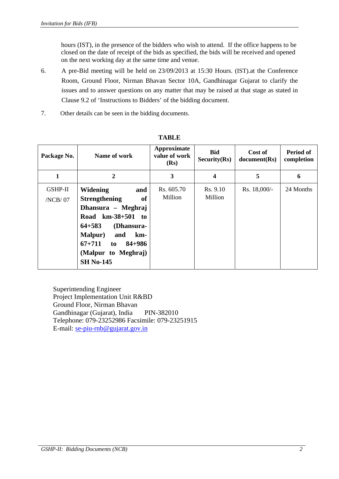hours (IST), in the presence of the bidders who wish to attend. If the office happens to be closed on the date of receipt of the bids as specified, the bids will be received and opened on the next working day at the same time and venue.

- 6. A pre-Bid meeting will be held on 23/09/2013 at 15:30 Hours. (IST).at the Conference Room, Ground Floor, Nirman Bhavan Sector 10A, Gandhinagar Gujarat to clarify the issues and to answer questions on any matter that may be raised at that stage as stated in Clause 9.2 of 'Instructions to Bidders' of the bidding document.
- 7. Other details can be seen in the bidding documents.

| Package No.               | Name of work                                                                                                                                                                                                                                     | Approximate<br>value of work<br>(Rs) | <b>Bid</b><br>Security(Rs) | Cost of<br>document(Rs) | Period of<br>completion |
|---------------------------|--------------------------------------------------------------------------------------------------------------------------------------------------------------------------------------------------------------------------------------------------|--------------------------------------|----------------------------|-------------------------|-------------------------|
| 1                         | $\overline{2}$                                                                                                                                                                                                                                   | 3                                    | $\overline{\mathbf{4}}$    | 5                       | 6                       |
| <b>GSHP-II</b><br>/NCB/07 | <b>Widening</b><br>and<br><b>Strengthening</b><br><b>of</b><br>Dhansura - Meghraj<br>Road km-38+501 to<br>$64 + 583$<br>(Dhansura-<br><b>Malpur</b> )<br>and<br>km-<br>$67 + 711$<br>$84 + 986$<br>to<br>(Malpur to Meghraj)<br><b>SH No-145</b> | Rs. 605.70<br>Million                | Rs. 9.10<br>Million        | Rs. 18,000/-            | 24 Months               |

**TABLE** 

Superintending Engineer Project Implementation Unit R&BD Ground Floor, Nirman Bhavan Gandhinagar (Gujarat), India PIN-382010 Telephone: 079-23252986 Facsimile: 079-23251915 E-mail: se-piu-rnb@gujarat.gov.in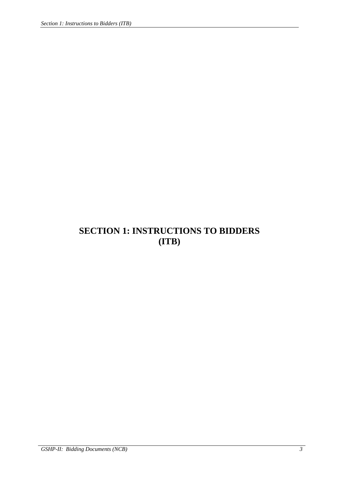# **SECTION 1: INSTRUCTIONS TO BIDDERS (ITB)**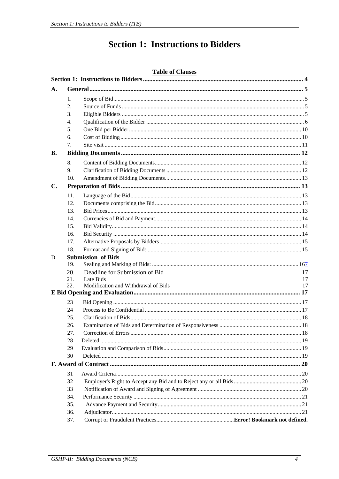# **Section 1: Instructions to Bidders**

#### **Table of Clauses**

| A.        |            |                                     |    |
|-----------|------------|-------------------------------------|----|
|           | 1.         |                                     |    |
|           | 2.         |                                     |    |
|           | 3.         |                                     |    |
|           | 4.         |                                     |    |
|           | 5.         |                                     |    |
|           | 6.         |                                     |    |
|           | 7.         |                                     |    |
| <b>B.</b> |            |                                     |    |
|           | 8.         |                                     |    |
|           | 9.         |                                     |    |
|           | 10.        |                                     |    |
| C.        |            |                                     |    |
|           | 11.        |                                     |    |
|           | 12.        |                                     |    |
|           | 13.        |                                     |    |
|           | 14.        |                                     |    |
|           | 15.        |                                     |    |
|           | 16.        |                                     |    |
|           | 17.        |                                     |    |
|           | 18.        |                                     |    |
| D         |            | <b>Submission of Bids</b>           |    |
|           | 19.        |                                     |    |
|           | 20.        | Deadline for Submission of Bid      | 17 |
|           | 21.        | Late Bids                           | 17 |
|           | 22.        | Modification and Withdrawal of Bids | 17 |
|           |            |                                     |    |
|           | 23         |                                     |    |
|           | 24         |                                     |    |
|           | 25.        |                                     |    |
|           | 26.        |                                     |    |
|           | 27.        |                                     |    |
|           | 28         |                                     |    |
|           | 29<br>30   |                                     |    |
|           |            |                                     |    |
|           |            |                                     |    |
|           | 31         |                                     |    |
|           | 32         |                                     |    |
|           | 33         |                                     |    |
|           | 34.        |                                     |    |
|           | 35.        |                                     |    |
|           | 36.<br>37. |                                     |    |
|           |            |                                     |    |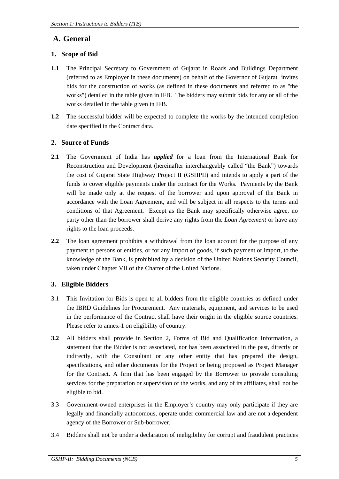## **A. General**

### **1. Scope of Bid**

- **1.1** The Principal Secretary to Government of Gujarat in Roads and Buildings Department (referred to as Employer in these documents) on behalf of the Governor of Gujarat invites bids for the construction of works (as defined in these documents and referred to as "the works") detailed in the table given in IFB. The bidders may submit bids for any or all of the works detailed in the table given in IFB.
- **1.2** The successful bidder will be expected to complete the works by the intended completion date specified in the Contract data.

### **2. Source of Funds**

- **2.1** The Government of India has *applied* for a loan from the International Bank for Reconstruction and Development (hereinafter interchangeably called "the Bank") towards the cost of Gujarat State Highway Project II (GSHPII) and intends to apply a part of the funds to cover eligible payments under the contract for the Works. Payments by the Bank will be made only at the request of the borrower and upon approval of the Bank in accordance with the Loan Agreement*,* and will be subject in all respects to the terms and conditions of that Agreement. Except as the Bank may specifically otherwise agree, no party other than the borrower shall derive any rights from the *Loan Agreement* or have any rights to the loan proceeds.
- **2.2** The loan agreement prohibits a withdrawal from the loan account for the purpose of any payment to persons or entities, or for any import of goods, if such payment or import, to the knowledge of the Bank, is prohibited by a decision of the United Nations Security Council, taken under Chapter VII of the Charter of the United Nations.

### **3. Eligible Bidders**

- 3.1 This Invitation for Bids is open to all bidders from the eligible countries as defined under the IBRD Guidelines for Procurement. Any materials, equipment, and services to be used in the performance of the Contract shall have their origin in the eligible source countries. Please refer to annex-1 on eligibility of country.
- **3.2** All bidders shall provide in Section 2, Forms of Bid and Qualification Information, a statement that the Bidder is not associated, nor has been associated in the past, directly or indirectly, with the Consultant or any other entity that has prepared the design, specifications, and other documents for the Project or being proposed as Project Manager for the Contract. A firm that has been engaged by the Borrower to provide consulting services for the preparation or supervision of the works, and any of its affiliates, shall not be eligible to bid.
- 3.3 Government-owned enterprises in the Employer's country may only participate if they are legally and financially autonomous, operate under commercial law and are not a dependent agency of the Borrower or Sub-borrower.
- 3.4 Bidders shall not be under a declaration of ineligibility for corrupt and fraudulent practices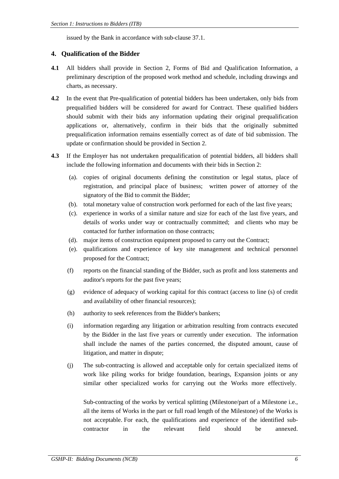issued by the Bank in accordance with sub-clause 37.1.

#### **4. Qualification of the Bidder**

- **4.1** All bidders shall provide in Section 2, Forms of Bid and Qualification Information, a preliminary description of the proposed work method and schedule, including drawings and charts, as necessary.
- **4.2** In the event that Pre-qualification of potential bidders has been undertaken, only bids from prequalified bidders will be considered for award for Contract. These qualified bidders should submit with their bids any information updating their original prequalification applications or, alternatively, confirm in their bids that the originally submitted prequalification information remains essentially correct as of date of bid submission. The update or confirmation should be provided in Section 2.
- **4.3** If the Employer has not undertaken prequalification of potential bidders, all bidders shall include the following information and documents with their bids in Section 2:
	- (a). copies of original documents defining the constitution or legal status, place of registration, and principal place of business; written power of attorney of the signatory of the Bid to commit the Bidder;
	- (b). total monetary value of construction work performed for each of the last five years;
	- (c). experience in works of a similar nature and size for each of the last five years, and details of works under way or contractually committed; and clients who may be contacted for further information on those contracts;
	- (d). major items of construction equipment proposed to carry out the Contract;
	- (e). qualifications and experience of key site management and technical personnel proposed for the Contract;
	- (f) reports on the financial standing of the Bidder, such as profit and loss statements and auditor's reports for the past five years;
	- (g) evidence of adequacy of working capital for this contract (access to line (s) of credit and availability of other financial resources);
	- (h) authority to seek references from the Bidder's bankers;
	- (i) information regarding any litigation or arbitration resulting from contracts executed by the Bidder in the last five years or currently under execution. The information shall include the names of the parties concerned, the disputed amount, cause of litigation, and matter in dispute;
	- (j) The sub-contracting is allowed and acceptable only for certain specialized items of work like piling works for bridge foundation, bearings, Expansion joints or any similar other specialized works for carrying out the Works more effectively.

Sub-contracting of the works by vertical splitting (Milestone/part of a Milestone i.e., all the items of Works in the part or full road length of the Milestone) of the Works is not acceptable. For each, the qualifications and experience of the identified subcontractor in the relevant field should be annexed.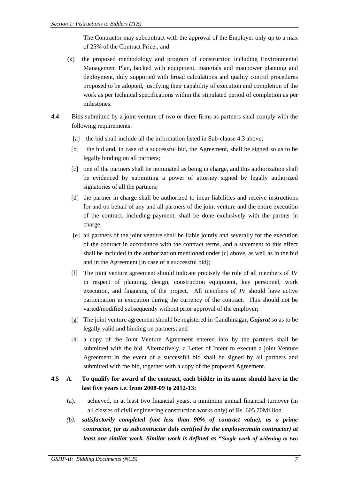The Contractor may subcontract with the approval of the Employer only up to a max of 25% of the Contract Price.; and

- (k) the proposed methodology and program of construction including Environmental Management Plan, backed with equipment, materials and manpower planning and deployment, duly supported with broad calculations and quality control procedures proposed to be adopted, justifying their capability of execution and completion of the work as per technical specifications within the stipulated period of completion as per milestones.
- **4.4** Bids submitted by a joint venture of two or three firms as partners shall comply with the following requirements:
	- [a] the bid shall include all the information listed in Sub-clause 4.3 above;
	- [b] the bid and, in case of a successful bid, the Agreement, shall be signed so as to be legally binding on all partners;
	- [c] one of the partners shall be nominated as being in charge, and this authorization shall be evidenced by submitting a power of attorney signed by legally authorized signatories of all the partners;
	- [d] the partner in charge shall be authorized to incur liabilities and receive instructions for and on behalf of any and all partners of the joint venture and the entire execution of the contract, including payment, shall be done exclusively with the partner in charge;
	- [e] all partners of the joint venture shall be liable jointly and severally for the execution of the contract in accordance with the contract terms, and a statement to this effect shall be included in the authorization mentioned under [c] above, as well as in the bid and in the Agreement [in case of a successful bid];
	- [f] The joint venture agreement should indicate precisely the role of all members of JV in respect of planning, design, construction equipment, key personnel, work execution, and financing of the project. All members of JV should have active participation in execution during the currency of the contract. This should not be varied/modified subsequently without prior approval of the employer;
	- [g] The joint venture agreement should be registered in Gandhinagar, *Gujarat* so as to be legally valid and binding on partners; and
	- [h] a copy of the Joint Venture Agreement entered into by the partners shall be submitted with the bid. Alternatively, a Letter of Intent to execute a joint Venture Agreement in the event of a successful bid shall be signed by all partners and submitted with the bid, together with a copy of the proposed Agreement.

### **4.5 A**. **To qualify for award of the contract, each bidder in its name should have in the last five years i.e. from 2008-09 to 2012-13:**

- (a). achieved, in at least two financial years, a minimum annual financial turnover (in all classes of civil engineering construction works only) of Rs. 605.70Million
- *(b). satisfactorily completed (not less than 90% of contract value), as a prime contractor, (or as subcontractor duly certified by the employer/main contractor) at least one similar work. Similar work is defined as "Single work of widening to two*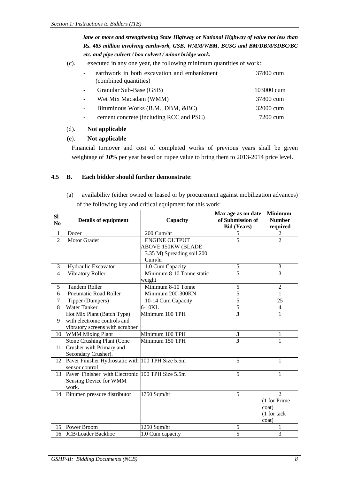*lane or more and strengthening State Highway or National Highway of value not less than Rs. 485 million involving earthwork, GSB, WMM/WBM, BUSG and BM/DBM/SDBC/BC etc. and pipe culvert / box culvert / minor bridge work.*

(c). executed in any one year, the following minimum quantities of work:

| earthwork in both excavation and embankment<br>(combined quantities) | 37800 cum  |
|----------------------------------------------------------------------|------------|
| Granular Sub-Base (GSB)                                              | 103000 cum |
| Wet Mix Macadam (WMM)                                                | 37800 cum  |
| Bituminous Works (B.M., DBM, &BC)                                    | 32000 cum  |
| cement concrete (including RCC and PSC)                              | 7200 cum   |

#### (d). **Not applicable**

#### (e). **Not applicable**

Financial turnover and cost of completed works of previous years shall be given weightage of *10%* per year based on rupee value to bring them to 2013-2014 price level.

#### **4.5 B. Each bidder should further demonstrate**:

(a) availability (either owned or leased or by procurement against mobilization advances) of the following key and critical equipment for this work:

| SI             |                                                   |                            | Max age as on date      | <b>Minimum</b> |
|----------------|---------------------------------------------------|----------------------------|-------------------------|----------------|
| N <sub>0</sub> | Details of equipment                              | Capacity                   | of Submission of        | <b>Number</b>  |
|                |                                                   |                            | <b>Bid (Years)</b>      | required       |
| $\mathbf{1}$   | Dozer                                             | 200 Cum/hr                 | $\sqrt{5}$              | $\overline{2}$ |
| $\overline{2}$ | Motor Grader                                      | <b>ENGINE OUTPUT</b>       | $\overline{5}$          | $\overline{2}$ |
|                |                                                   | <b>ABOVE 150KW (BLADE</b>  |                         |                |
|                |                                                   | 3.35 M) Spreading soil 200 |                         |                |
|                |                                                   | Cum/hr                     |                         |                |
| 3              | Hydraulic Excavator                               | 1.0 Cum Capacity           | 5                       | 3              |
| $\overline{4}$ | Vibratory Roller                                  | Minimum 8-10 Tonne static  | 5                       | $\overline{3}$ |
|                |                                                   | weight                     |                         |                |
| 5              | <b>Tandem Roller</b>                              | Minimum 8-10 Tonne         | 5                       | $\overline{2}$ |
| 6              | <b>Pneumatic Road Roller</b>                      | Minimum 200-300KN          | $\overline{5}$          | 1              |
| $\overline{7}$ | Tipper (Dumpers)                                  | 10-14 Cum Capacity         | $\overline{5}$          | 25             |
| 8              | Water Tanker                                      | 6-10KL                     | $\overline{5}$          | $\overline{4}$ |
|                | Hot Mix Plant (Batch Type)                        | Minimum 100 TPH            | $\overline{\mathbf{3}}$ | 1              |
| 9              | with electronic controls and                      |                            |                         |                |
|                | vibratory screens with scrubber                   |                            |                         |                |
| 10             | <b>WMM Mixing Plant</b>                           | Minimum 100 TPH            | 3                       | 1              |
|                | <b>Stone Crushing Plant (Cone</b>                 | Minimum 150 TPH            | $\overline{3}$          | $\mathbf{1}$   |
| 11             | Crusher with Primary and                          |                            |                         |                |
|                | Secondary Crusher).                               |                            |                         |                |
| 12             | Paver Finisher Hydrostatic with 100 TPH Size 5.5m |                            | 5                       | $\mathbf{1}$   |
|                | sensor control                                    |                            |                         |                |
| 13             | Paver Finisher with Electronic 100 TPH Size 5.5m  |                            | 5                       | 1              |
|                | Sensing Device for WMM                            |                            |                         |                |
|                | work.                                             |                            |                         |                |
| 14             | Bitumen pressure distributor                      | 1750 Sqm/hr                | 5                       | $\overline{2}$ |
|                |                                                   |                            |                         | (1 for Prime   |
|                |                                                   |                            |                         | coat)          |
|                |                                                   |                            |                         | (1 for tack    |
|                |                                                   |                            |                         | coat)          |
| 15             | Power Broom                                       | 1250 Sqm/hr                | 5                       | 1              |
| 16             | <b>JCB/Loader Backhoe</b>                         | 1.0 Cum capacity           | $\overline{5}$          | $\overline{3}$ |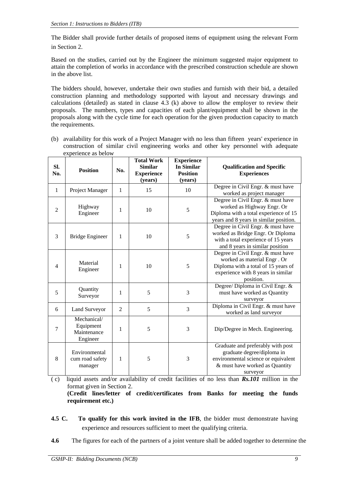The Bidder shall provide further details of proposed items of equipment using the relevant Form in Section 2.

Based on the studies, carried out by the Engineer the minimum suggested major equipment to attain the completion of works in accordance with the prescribed construction schedule are shown in the above list.

The bidders should, however, undertake their own studies and furnish with their bid, a detailed construction planning and methodology supported with layout and necessary drawings and calculations (detailed) as stated in clause  $4.\overline{3}$  (k) above to allow the employer to review their proposals. The numbers, types and capacities of each plant/equipment shall be shown in the proposals along with the cycle time for each operation for the given production capacity to match the requirements.

(b) availability for this work of a Project Manager with no less than fifteen years' experience in construction of similar civil engineering works and other key personnel with adequate experience as below

| SI.<br>No.     | <b>Position</b>                                     | No. | <b>Total Work</b><br><b>Similar</b><br><b>Experience</b><br>(years) | <b>Experience</b><br><b>In Similar</b><br><b>Position</b><br>(years) | <b>Qualification and Specific</b><br><b>Experiences</b>                                                                                                    |
|----------------|-----------------------------------------------------|-----|---------------------------------------------------------------------|----------------------------------------------------------------------|------------------------------------------------------------------------------------------------------------------------------------------------------------|
| $\mathbf{1}$   | Project Manager                                     | 1   | 15                                                                  | 10                                                                   | Degree in Civil Engr. & must have<br>worked as project manager                                                                                             |
| $\overline{2}$ | Highway<br>Engineer                                 | 1   | 10                                                                  | 5                                                                    | Degree in Civil Engr. & must have<br>worked as Highway Engr. Or<br>Diploma with a total experience of 15<br>years and 8 years in similar position.         |
| 3              | <b>Bridge Engineer</b>                              | 1   | 10                                                                  | 5                                                                    | Degree in Civil Engr. & must have<br>worked as Bridge Engr. Or Diploma<br>with a total experience of 15 years<br>and 8 years in similar position           |
| $\overline{4}$ | Material<br>Engineer                                | 1   | 10                                                                  | 5                                                                    | Degree in Civil Engr. & must have<br>worked as material Engr. Or<br>Diploma with a total of 15 years of<br>experience with 8 years in similar<br>position. |
| 5              | Quantity<br>Surveyor                                | 1   | 5                                                                   | 3                                                                    | Degree/ Diploma in Civil Engr. &<br>must have worked as Quantity<br>surveyor                                                                               |
| 6              | Land Surveyor                                       | 2   | 5                                                                   | 3                                                                    | Diploma in Civil Engr. & must have<br>worked as land surveyor                                                                                              |
| 7              | Mechanical/<br>Equipment<br>Maintenance<br>Engineer | 1   | 5                                                                   | 3                                                                    | Dip/Degree in Mech. Engineering.                                                                                                                           |
| 8              | Environmental<br>cum road safety<br>manager         | 1   | 5                                                                   | 3                                                                    | Graduate and preferably with post<br>graduate degree/diploma in<br>environmental science or equivalent<br>& must have worked as Quantity<br>surveyor       |

( c) liquid assets and/or availability of credit facilities of no less than *Rs.101* million in the format given in Section 2.

 **(Credit lines/letter of credit/certificates from Banks for meeting the funds requirement etc.)**

- **4.5 C. To qualify for this work invited in the IFB**, the bidder must demonstrate having experience and resources sufficient to meet the qualifying criteria.
- **4.6** The figures for each of the partners of a joint venture shall be added together to determine the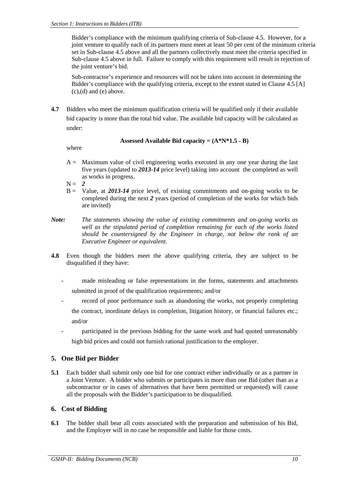Bidder's compliance with the minimum qualifying criteria of Sub-clause 4.5. However, for a joint venture to qualify each of its partners must meet at least 50 per cent of the minimum criteria set in Sub-clause 4.5 above and all the partners collectively must meet the criteria specified in Sub-clause 4.5 above in full. Failure to comply with this requirement will result in rejection of the joint venture's bid.

Sub-contractor's experience and resources will not be taken into account in determining the Bidder's compliance with the qualifying criteria, except to the extent stated in Clause 4.5 [A]  $(c)$ ,  $(d)$  and  $(e)$  above.

**4.7** Bidders who meet the minimum qualification criteria will be qualified only if their available bid capacity is more than the total bid value. The available bid capacity will be calculated as under:

#### **Assessed Available Bid capacity = (A\*N\*1.5 - B)**

where

 $A =$  Maximum value of civil engineering works executed in any one year during the last five years (updated to *2013-14* price level) taking into account the completed as well as works in progress.

 $N = 2$ 

- B = Value, at *2013-14* price level, of existing commitments and on-going works to be completed during the next *2* years (period of completion of the works for which bids are invited)
- *Note: The statements showing the value of existing commitments and on-going works as well as the stipulated period of completion remaining for each of the works listed should be countersigned by the Engineer in charge, not below the rank of an Executive Engineer or equivalent.*
- **4.8** Even though the bidders meet the above qualifying criteria, they are subject to be disqualified if they have:
	- made misleading or false representations in the forms, statements and attachments submitted in proof of the qualification requirements; and/or
	- record of poor performance such as abandoning the works, not properly completing the contract, inordinate delays in completion, litigation history, or financial failures etc.; and/or
	- participated in the previous bidding for the same work and had quoted unreasonably high bid prices and could not furnish rational justification to the employer.

### **5. One Bid per Bidder**

**5.1** Each bidder shall submit only one bid for one contract either individually or as a partner in a Joint Venture. A bidder who submits or participates in more than one Bid (other than as a subcontractor or in cases of alternatives that have been permitted or requested) will cause all the proposals with the Bidder's participation to be disqualified.

#### **6. Cost of Bidding**

**6.1** The bidder shall bear all costs associated with the preparation and submission of his Bid, and the Employer will in no case be responsible and liable for those costs.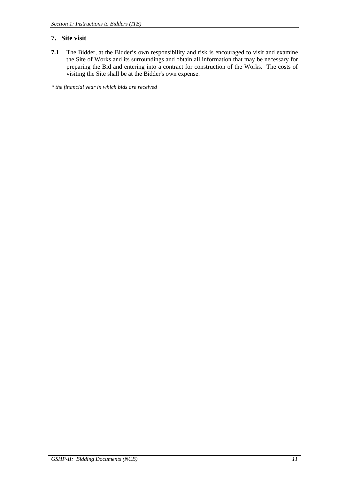#### **7. Site visit**

**7.1** The Bidder, at the Bidder's own responsibility and risk is encouraged to visit and examine the Site of Works and its surroundings and obtain all information that may be necessary for preparing the Bid and entering into a contract for construction of the Works. The costs of visiting the Site shall be at the Bidder's own expense.

*\* the financial year in which bids are received*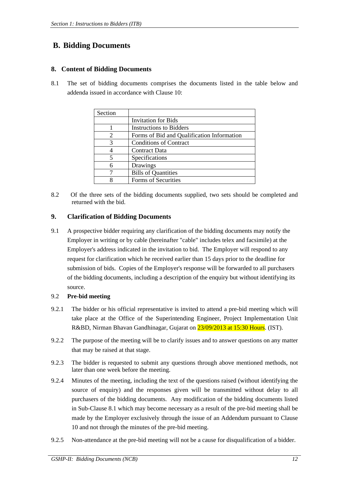# **B. Bidding Documents**

#### **8. Content of Bidding Documents**

8.1 The set of bidding documents comprises the documents listed in the table below and addenda issued in accordance with Clause 10:

| Section |                                            |
|---------|--------------------------------------------|
|         | <b>Invitation for Bids</b>                 |
|         | <b>Instructions to Bidders</b>             |
| 2       | Forms of Bid and Qualification Information |
| 3       | <b>Conditions of Contract</b>              |
|         | <b>Contract Data</b>                       |
| 5       | Specifications                             |
| 6       | Drawings                                   |
|         | <b>Bills of Quantities</b>                 |
|         | Forms of Securities                        |

8.2 Of the three sets of the bidding documents supplied, two sets should be completed and returned with the bid.

#### **9. Clarification of Bidding Documents**

9.1 A prospective bidder requiring any clarification of the bidding documents may notify the Employer in writing or by cable (hereinafter "cable" includes telex and facsimile) at the Employer's address indicated in the invitation to bid. The Employer will respond to any request for clarification which he received earlier than 15 days prior to the deadline for submission of bids. Copies of the Employer's response will be forwarded to all purchasers of the bidding documents, including a description of the enquiry but without identifying its source.

#### 9.2 **Pre-bid meeting**

- 9.2.1 The bidder or his official representative is invited to attend a pre-bid meeting which will take place at the Office of the Superintending Engineer, Project Implementation Unit R&BD, Nirman Bhavan Gandhinagar, Gujarat on 23/09/2013 at 15:30 Hours. (IST).
- 9.2.2 The purpose of the meeting will be to clarify issues and to answer questions on any matter that may be raised at that stage.
- 9.2.3 The bidder is requested to submit any questions through above mentioned methods, not later than one week before the meeting.
- 9.2.4 Minutes of the meeting, including the text of the questions raised (without identifying the source of enquiry) and the responses given will be transmitted without delay to all purchasers of the bidding documents. Any modification of the bidding documents listed in Sub-Clause 8.1 which may become necessary as a result of the pre-bid meeting shall be made by the Employer exclusively through the issue of an Addendum pursuant to Clause 10 and not through the minutes of the pre-bid meeting.
- 9.2.5 Non-attendance at the pre-bid meeting will not be a cause for disqualification of a bidder.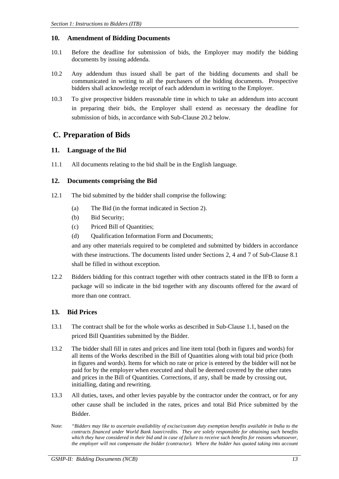#### **10. Amendment of Bidding Documents**

- 10.1 Before the deadline for submission of bids, the Employer may modify the bidding documents by issuing addenda.
- 10.2 Any addendum thus issued shall be part of the bidding documents and shall be communicated in writing to all the purchasers of the bidding documents. Prospective bidders shall acknowledge receipt of each addendum in writing to the Employer.
- 10.3 To give prospective bidders reasonable time in which to take an addendum into account in preparing their bids, the Employer shall extend as necessary the deadline for submission of bids, in accordance with Sub-Clause 20.2 below.

### **C. Preparation of Bids**

#### **11. Language of the Bid**

11.1 All documents relating to the bid shall be in the English language.

#### **12. Documents comprising the Bid**

- 12.1 The bid submitted by the bidder shall comprise the following:
	- (a) The Bid (in the format indicated in Section 2).
	- (b) Bid Security;
	- (c) Priced Bill of Quantities;
	- (d) Oualification Information Form and Documents;

 and any other materials required to be completed and submitted by bidders in accordance with these instructions. The documents listed under Sections 2, 4 and 7 of Sub-Clause 8.1 shall be filled in without exception.

12.2 Bidders bidding for this contract together with other contracts stated in the IFB to form a package will so indicate in the bid together with any discounts offered for the award of more than one contract.

#### **13. Bid Prices**

- 13.1 The contract shall be for the whole works as described in Sub-Clause 1.1, based on the priced Bill Quantities submitted by the Bidder.
- 13.2 The bidder shall fill in rates and prices and line item total (both in figures and words) for all items of the Works described in the Bill of Quantities along with total bid price (both in figures and words). Items for which no rate or price is entered by the bidder will not be paid for by the employer when executed and shall be deemed covered by the other rates and prices in the Bill of Quantities. Corrections, if any, shall be made by crossing out, initialling, dating and rewriting.
- 13.3 All duties, taxes, and other levies payable by the contractor under the contract, or for any other cause shall be included in the rates, prices and total Bid Price submitted by the Bidder.
- Note: *"Bidders may like to ascertain availability of excise/custom duty exemption benefits available in India to the contracts financed under World Bank loan/credits. They are solely responsible for obtaining such benefits which they have considered in their bid and in case of failure to receive such benefits for reasons whatsoever, the employer will not compensate the bidder (contractor). Where the bidder has quoted taking into account*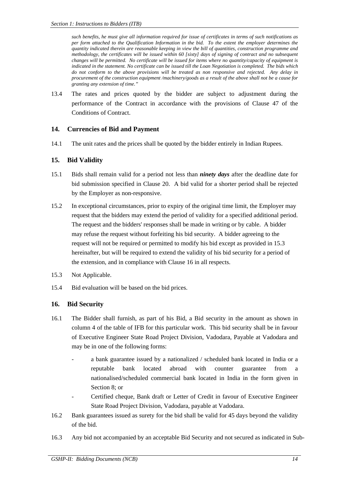*such benefits, he must give all information required for issue of certificates in terms of such notifications as per form attached to the Qualification Information in the bid. To the extent the employer determines the quantity indicated therein are reasonable keeping in view the bill of quantities, construction programme and methodology, the certificates will be issued within 60 [sixty] days of signing of contract and no subsequent changes will be permitted. No certificate will be issued for items where no quantity/capacity of equipment is indicated in the statement. No certificate can be issued till the Loan Negotiation is completed. The bids which do not conform to the above provisions will be treated as non responsive and rejected. Any delay in procurement of the construction equipment /machinery/goods as a result of the above shall not be a cause for granting any extension of time."* 

13.4 The rates and prices quoted by the bidder are subject to adjustment during the performance of the Contract in accordance with the provisions of Clause 47 of the Conditions of Contract.

#### **14. Currencies of Bid and Payment**

14.1 The unit rates and the prices shall be quoted by the bidder entirely in Indian Rupees.

#### **15. Bid Validity**

- 15.1 Bids shall remain valid for a period not less than *ninety days* after the deadline date for bid submission specified in Clause 20. A bid valid for a shorter period shall be rejected by the Employer as non-responsive.
- 15.2 In exceptional circumstances, prior to expiry of the original time limit, the Employer may request that the bidders may extend the period of validity for a specified additional period. The request and the bidders' responses shall be made in writing or by cable. A bidder may refuse the request without forfeiting his bid security. A bidder agreeing to the request will not be required or permitted to modify his bid except as provided in 15.3 hereinafter, but will be required to extend the validity of his bid security for a period of the extension, and in compliance with Clause 16 in all respects.
- 15.3 Not Applicable.
- 15.4 Bid evaluation will be based on the bid prices.

#### **16. Bid Security**

- 16.1 The Bidder shall furnish, as part of his Bid, a Bid security in the amount as shown in column 4 of the table of IFB for this particular work. This bid security shall be in favour of Executive Engineer State Road Project Division, Vadodara, Payable at Vadodara and may be in one of the following forms:
	- a bank guarantee issued by a nationalized / scheduled bank located in India or a reputable bank located abroad with counter guarantee from a nationalised/scheduled commercial bank located in India in the form given in Section 8; or
	- Certified cheque, Bank draft or Letter of Credit in favour of Executive Engineer State Road Project Division, Vadodara, payable at Vadodara.
- 16.2 Bank guarantees issued as surety for the bid shall be valid for 45 days beyond the validity of the bid.
- 16.3 Any bid not accompanied by an acceptable Bid Security and not secured as indicated in Sub-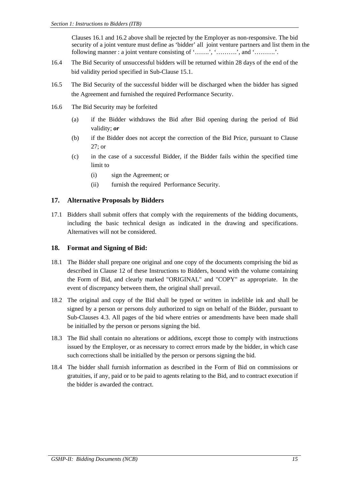Clauses 16.1 and 16.2 above shall be rejected by the Employer as non-responsive. The bid security of a joint venture must define as 'bidder' all joint venture partners and list them in the following manner : a joint venture consisting of '…….', '……….', and '……….'.

- 16.4 The Bid Security of unsuccessful bidders will be returned within 28 days of the end of the bid validity period specified in Sub-Clause 15.1.
- 16.5 The Bid Security of the successful bidder will be discharged when the bidder has signed the Agreement and furnished the required Performance Security.
- 16.6 The Bid Security may be forfeited
	- (a) if the Bidder withdraws the Bid after Bid opening during the period of Bid validity; *or*
	- (b) if the Bidder does not accept the correction of the Bid Price, pursuant to Clause 27; or
	- (c) in the case of a successful Bidder, if the Bidder fails within the specified time limit to
		- (i) sign the Agreement; or
		- (ii) furnish the required Performance Security.

#### **17. Alternative Proposals by Bidders**

17.1 Bidders shall submit offers that comply with the requirements of the bidding documents, including the basic technical design as indicated in the drawing and specifications. Alternatives will not be considered.

#### **18. Format and Signing of Bid:**

- 18.1 The Bidder shall prepare one original and one copy of the documents comprising the bid as described in Clause 12 of these Instructions to Bidders, bound with the volume containing the Form of Bid, and clearly marked "ORIGINAL" and "COPY" as appropriate. In the event of discrepancy between them, the original shall prevail.
- 18.2 The original and copy of the Bid shall be typed or written in indelible ink and shall be signed by a person or persons duly authorized to sign on behalf of the Bidder, pursuant to Sub-Clauses 4.3. All pages of the bid where entries or amendments have been made shall be initialled by the person or persons signing the bid.
- 18.3 The Bid shall contain no alterations or additions, except those to comply with instructions issued by the Employer, or as necessary to correct errors made by the bidder, in which case such corrections shall be initialled by the person or persons signing the bid.
- 18.4 The bidder shall furnish information as described in the Form of Bid on commissions or gratuities, if any, paid or to be paid to agents relating to the Bid, and to contract execution if the bidder is awarded the contract.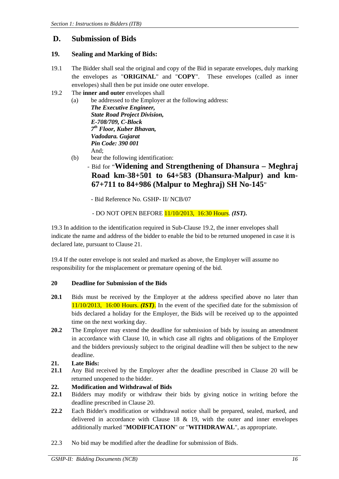## **D. Submission of Bids**

#### **19. Sealing and Marking of Bids:**

- 19.1 The Bidder shall seal the original and copy of the Bid in separate envelopes, duly marking the envelopes as "**ORIGINAL**" and "**COPY**". These envelopes (called as inner envelopes) shall then be put inside one outer envelope.
- 19.2 The **inner and outer** envelopes shall
	- (a) be addressed to the Employer at the following address:

 *The Executive Engineer, State Road Project Division, E-708/709, C-Block 7th Floor, Kuber Bhavan, Vadodara. Gujarat Pin Code: 390 001*  And;

- (b) bear the following identification:
	- Bid for "**Widening and Strengthening of Dhansura Meghraj Road km-38+501 to 64+583 (Dhansura-Malpur) and km-67+711 to 84+986 (Malpur to Meghraj) SH No-145**"

- Bid Reference No. GSHP- II/ NCB/07

- DO NOT OPEN BEFORE 11/10/2013, 16:30 Hours. *(IST).*

19.3 In addition to the identification required in Sub-Clause 19.2, the inner envelopes shall indicate the name and address of the bidder to enable the bid to be returned unopened in case it is declared late, pursuant to Clause 21.

19.4 If the outer envelope is not sealed and marked as above, the Employer will assume no responsibility for the misplacement or premature opening of the bid.

#### **20 Deadline for Submission of the Bids**

- **20.1** Bids must be received by the Employer at the address specified above no later than 11/10/2013, 16:00 Hours. *(IST)*. In the event of the specified date for the submission of bids declared a holiday for the Employer, the Bids will be received up to the appointed time on the next working day.
- **20.2** The Employer may extend the deadline for submission of bids by issuing an amendment in accordance with Clause 10, in which case all rights and obligations of the Employer and the bidders previously subject to the original deadline will then be subject to the new deadline.
- **21. Late Bids:**
- **21.1** Any Bid received by the Employer after the deadline prescribed in Clause 20 will be returned unopened to the bidder.
- **22. Modification and Withdrawal of Bids**
- **22.1** Bidders may modify or withdraw their bids by giving notice in writing before the deadline prescribed in Clause 20.
- **22.2** Each Bidder's modification or withdrawal notice shall be prepared, sealed, marked, and delivered in accordance with Clause 18 & 19, with the outer and inner envelopes additionally marked "**MODIFICATION**" or "**WITHDRAWAL**", as appropriate.
- 22.3 No bid may be modified after the deadline for submission of Bids.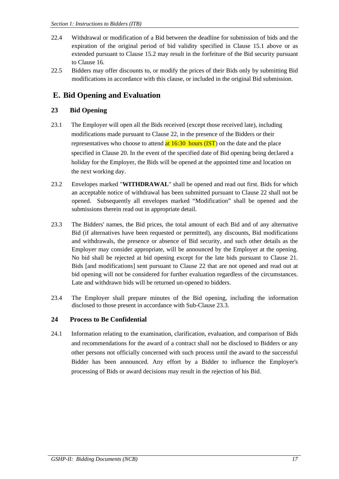- 22.4 Withdrawal or modification of a Bid between the deadline for submission of bids and the expiration of the original period of bid validity specified in Clause 15.1 above or as extended pursuant to Clause 15.2 may result in the forfeiture of the Bid security pursuant to Clause 16.
- 22.5 Bidders may offer discounts to, or modify the prices of their Bids only by submitting Bid modifications in accordance with this clause, or included in the original Bid submission.

# **E. Bid Opening and Evaluation**

### **23 Bid Opening**

- 23.1 The Employer will open all the Bids received (except those received late), including modifications made pursuant to Clause 22, in the presence of the Bidders or their representatives who choose to attend  $at 16:30$  hours (IST) on the date and the place specified in Clause 20. In the event of the specified date of Bid opening being declared a holiday for the Employer, the Bids will be opened at the appointed time and location on the next working day.
- 23.2 Envelopes marked "**WITHDRAWAL**" shall be opened and read out first. Bids for which an acceptable notice of withdrawal has been submitted pursuant to Clause 22 shall not be opened. Subsequently all envelopes marked "Modification" shall be opened and the submissions therein read out in appropriate detail.
- 23.3 The Bidders' names, the Bid prices, the total amount of each Bid and of any alternative Bid (if alternatives have been requested or permitted), any discounts, Bid modifications and withdrawals, the presence or absence of Bid security, and such other details as the Employer may consider appropriate, will be announced by the Employer at the opening. No bid shall be rejected at bid opening except for the late bids pursuant to Clause 21. Bids [and modifications] sent pursuant to Clause 22 that are not opened and read out at bid opening will not be considered for further evaluation regardless of the circumstances. Late and withdrawn bids will be returned un-opened to bidders.
- 23.4 The Employer shall prepare minutes of the Bid opening, including the information disclosed to those present in accordance with Sub-Clause 23.3.

### **24 Process to Be Confidential**

24.1 Information relating to the examination, clarification, evaluation, and comparison of Bids and recommendations for the award of a contract shall not be disclosed to Bidders or any other persons not officially concerned with such process until the award to the successful Bidder has been announced. Any effort by a Bidder to influence the Employer's processing of Bids or award decisions may result in the rejection of his Bid.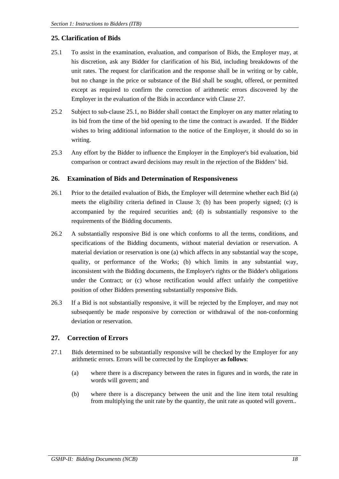#### **25. Clarification of Bids**

- 25.1 To assist in the examination, evaluation, and comparison of Bids, the Employer may, at his discretion, ask any Bidder for clarification of his Bid, including breakdowns of the unit rates. The request for clarification and the response shall be in writing or by cable, but no change in the price or substance of the Bid shall be sought, offered, or permitted except as required to confirm the correction of arithmetic errors discovered by the Employer in the evaluation of the Bids in accordance with Clause 27.
- 25.2 Subject to sub-clause 25.1, no Bidder shall contact the Employer on any matter relating to its bid from the time of the bid opening to the time the contract is awarded. If the Bidder wishes to bring additional information to the notice of the Employer, it should do so in writing.
- 25.3 Any effort by the Bidder to influence the Employer in the Employer's bid evaluation, bid comparison or contract award decisions may result in the rejection of the Bidders' bid.

#### **26. Examination of Bids and Determination of Responsiveness**

- 26.1 Prior to the detailed evaluation of Bids, the Employer will determine whether each Bid (a) meets the eligibility criteria defined in Clause 3; (b) has been properly signed; (c) is accompanied by the required securities and; (d) is substantially responsive to the requirements of the Bidding documents.
- 26.2 A substantially responsive Bid is one which conforms to all the terms, conditions, and specifications of the Bidding documents, without material deviation or reservation. A material deviation or reservation is one (a) which affects in any substantial way the scope, quality, or performance of the Works; (b) which limits in any substantial way, inconsistent with the Bidding documents, the Employer's rights or the Bidder's obligations under the Contract; or (c) whose rectification would affect unfairly the competitive position of other Bidders presenting substantially responsive Bids.
- 26.3 If a Bid is not substantially responsive, it will be rejected by the Employer, and may not subsequently be made responsive by correction or withdrawal of the non-conforming deviation or reservation.

#### **27. Correction of Errors**

- 27.1 Bids determined to be substantially responsive will be checked by the Employer for any arithmetic errors. Errors will be corrected by the Employer **as follows**:
	- (a) where there is a discrepancy between the rates in figures and in words, the rate in words will govern; and
	- (b) where there is a discrepancy between the unit and the line item total resulting from multiplying the unit rate by the quantity, the unit rate as quoted will govern..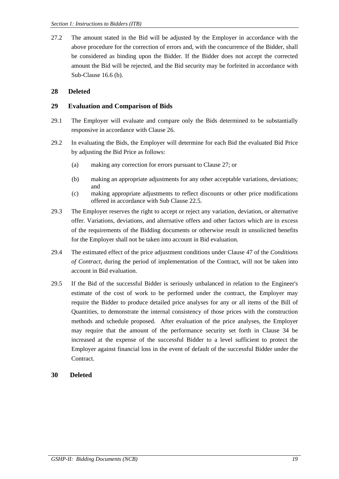27.2 The amount stated in the Bid will be adjusted by the Employer in accordance with the above procedure for the correction of errors and, with the concurrence of the Bidder, shall be considered as binding upon the Bidder. If the Bidder does not accept the corrected amount the Bid will be rejected, and the Bid security may be forfeited in accordance with Sub-Clause 16.6 (b).

### **28 Deleted**

#### **29 Evaluation and Comparison of Bids**

- 29.1 The Employer will evaluate and compare only the Bids determined to be substantially responsive in accordance with Clause 26.
- 29.2 In evaluating the Bids, the Employer will determine for each Bid the evaluated Bid Price by adjusting the Bid Price as follows:
	- (a) making any correction for errors pursuant to Clause 27; or
	- (b) making an appropriate adjustments for any other acceptable variations, deviations; and
	- (c) making appropriate adjustments to reflect discounts or other price modifications offered in accordance with Sub Clause 22.5.
- 29.3 The Employer reserves the right to accept or reject any variation, deviation, or alternative offer. Variations, deviations, and alternative offers and other factors which are in excess of the requirements of the Bidding documents or otherwise result in unsolicited benefits for the Employer shall not be taken into account in Bid evaluation.
- 29.4 The estimated effect of the price adjustment conditions under Clause 47 of the *Conditions of Contract*, during the period of implementation of the Contract, will not be taken into account in Bid evaluation.
- 29.5 If the Bid of the successful Bidder is seriously unbalanced in relation to the Engineer's estimate of the cost of work to be performed under the contract, the Employer may require the Bidder to produce detailed price analyses for any or all items of the Bill of Quantities, to demonstrate the internal consistency of those prices with the construction methods and schedule proposed. After evaluation of the price analyses, the Employer may require that the amount of the performance security set forth in Clause 34 be increased at the expense of the successful Bidder to a level sufficient to protect the Employer against financial loss in the event of default of the successful Bidder under the Contract.

#### **30 Deleted**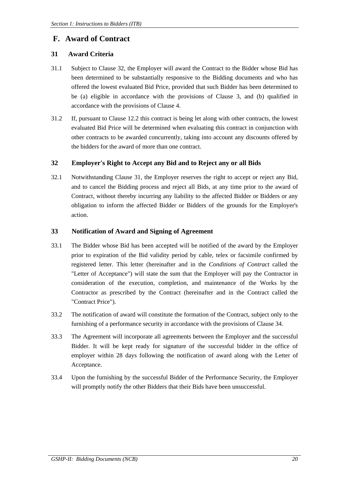### **F. Award of Contract**

#### **31 Award Criteria**

- 31.1 Subject to Clause 32, the Employer will award the Contract to the Bidder whose Bid has been determined to be substantially responsive to the Bidding documents and who has offered the lowest evaluated Bid Price, provided that such Bidder has been determined to be (a) eligible in accordance with the provisions of Clause 3, and (b) qualified in accordance with the provisions of Clause 4.
- 31.2 If, pursuant to Clause 12.2 this contract is being let along with other contracts, the lowest evaluated Bid Price will be determined when evaluating this contract in conjunction with other contracts to be awarded concurrently, taking into account any discounts offered by the bidders for the award of more than one contract.

#### **32 Employer's Right to Accept any Bid and to Reject any or all Bids**

32.1 Notwithstanding Clause 31, the Employer reserves the right to accept or reject any Bid, and to cancel the Bidding process and reject all Bids, at any time prior to the award of Contract, without thereby incurring any liability to the affected Bidder or Bidders or any obligation to inform the affected Bidder or Bidders of the grounds for the Employer's action.

#### **33 Notification of Award and Signing of Agreement**

- 33.1 The Bidder whose Bid has been accepted will be notified of the award by the Employer prior to expiration of the Bid validity period by cable, telex or facsimile confirmed by registered letter. This letter (hereinafter and in the *Conditions of Contract* called the "Letter of Acceptance") will state the sum that the Employer will pay the Contractor in consideration of the execution, completion, and maintenance of the Works by the Contractor as prescribed by the Contract (hereinafter and in the Contract called the "Contract Price").
- 33.2 The notification of award will constitute the formation of the Contract, subject only to the furnishing of a performance security in accordance with the provisions of Clause 34.
- 33.3 The Agreement will incorporate all agreements between the Employer and the successful Bidder. It will be kept ready for signature of the successful bidder in the office of employer within 28 days following the notification of award along with the Letter of Acceptance.
- 33.4 Upon the furnishing by the successful Bidder of the Performance Security, the Employer will promptly notify the other Bidders that their Bids have been unsuccessful.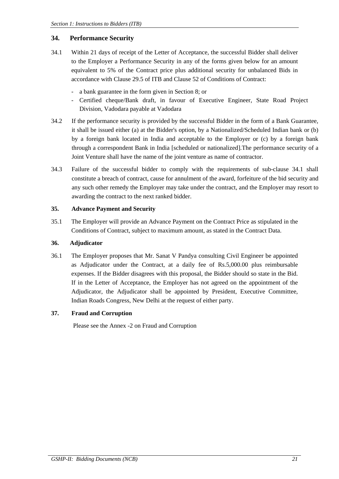#### **34. Performance Security**

- 34.1 Within 21 days of receipt of the Letter of Acceptance, the successful Bidder shall deliver to the Employer a Performance Security in any of the forms given below for an amount equivalent to 5% of the Contract price plus additional security for unbalanced Bids in accordance with Clause 29.5 of ITB and Clause 52 of Conditions of Contract:
	- a bank guarantee in the form given in Section 8; or
	- Certified cheque/Bank draft, in favour of Executive Engineer, State Road Project Division, Vadodara payable at Vadodara
- 34.2 If the performance security is provided by the successful Bidder in the form of a Bank Guarantee, it shall be issued either (a) at the Bidder's option, by a Nationalized/Scheduled Indian bank or (b) by a foreign bank located in India and acceptable to the Employer or (c) by a foreign bank through a correspondent Bank in India [scheduled or nationalized].The performance security of a Joint Venture shall have the name of the joint venture as name of contractor.
- 34.3 Failure of the successful bidder to comply with the requirements of sub-clause 34.1 shall constitute a breach of contract, cause for annulment of the award, forfeiture of the bid security and any such other remedy the Employer may take under the contract, and the Employer may resort to awarding the contract to the next ranked bidder.

#### **35. Advance Payment and Security**

35.1 The Employer will provide an Advance Payment on the Contract Price as stipulated in the Conditions of Contract, subject to maximum amount, as stated in the Contract Data.

#### **36. Adjudicator**

36.1 The Employer proposes that Mr. Sanat V Pandya consulting Civil Engineer be appointed as Adjudicator under the Contract, at a daily fee of Rs.5,000.00 plus reimbursable expenses. If the Bidder disagrees with this proposal, the Bidder should so state in the Bid. If in the Letter of Acceptance, the Employer has not agreed on the appointment of the Adjudicator, the Adjudicator shall be appointed by President, Executive Committee, Indian Roads Congress, New Delhi at the request of either party.

#### **37. Fraud and Corruption**

Please see the Annex -2 on Fraud and Corruption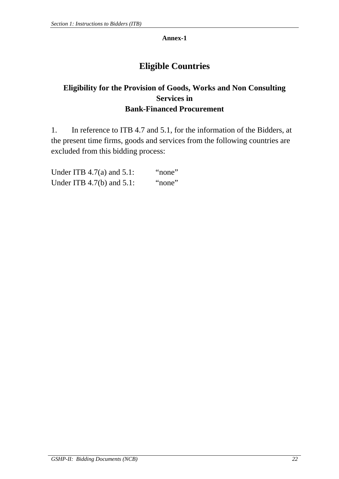#### **Annex-1**

# **Eligible Countries**

# **Eligibility for the Provision of Goods, Works and Non Consulting Services in Bank-Financed Procurement**

1. In reference to ITB 4.7 and 5.1, for the information of the Bidders, at the present time firms, goods and services from the following countries are excluded from this bidding process:

| Under ITB $4.7(a)$ and $5.1$ : | "none" |
|--------------------------------|--------|
| Under ITB $4.7(b)$ and $5.1$ : | "none" |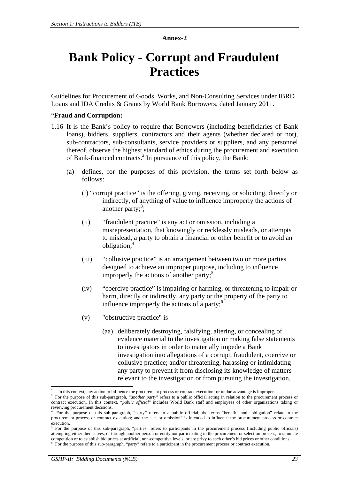#### **Annex-2**

# **Bank Policy - Corrupt and Fraudulent Practices**

Guidelines for Procurement of Goods, Works, and Non-Consulting Services under IBRD Loans and IDA Credits & Grants by World Bank Borrowers, dated January 2011.

#### "**Fraud and Corruption:**

- 1.16 It is the Bank's policy to require that Borrowers (including beneficiaries of Bank loans), bidders, suppliers, contractors and their agents (whether declared or not), sub-contractors, sub-consultants, service providers or suppliers, and any personnel thereof, observe the highest standard of ethics during the procurement and execution of Bank-financed contracts.<sup>2</sup> In pursuance of this policy, the Bank:
	- (a) defines, for the purposes of this provision, the terms set forth below as follows:
		- (i) "corrupt practice" is the offering, giving, receiving, or soliciting, directly or indirectly, of anything of value to influence improperly the actions of another party; $3$ ;
		- (ii) "fraudulent practice" is any act or omission, including a misrepresentation, that knowingly or recklessly misleads, or attempts to mislead, a party to obtain a financial or other benefit or to avoid an obligation;<sup>4</sup>
		- (iii) "collusive practice" is an arrangement between two or more parties designed to achieve an improper purpose, including to influence improperly the actions of another party; $5$
		- (iv) "coercive practice" is impairing or harming, or threatening to impair or harm, directly or indirectly, any party or the property of the party to influence improperly the actions of a party; $<sup>6</sup>$ </sup>
		- (v) "obstructive practice" is
			- (aa) deliberately destroying, falsifying, altering, or concealing of evidence material to the investigation or making false statements to investigators in order to materially impede a Bank investigation into allegations of a corrupt, fraudulent, coercive or collusive practice; and/or threatening, harassing or intimidating any party to prevent it from disclosing its knowledge of matters relevant to the investigation or from pursuing the investigation,

l

<sup>2</sup> In this context, any action to influence the procurement process or contract execution for undue advantage is improper.

<sup>&</sup>lt;sup>3</sup> For the purpose of this sub-paragraph, "*another party*" refers to a public official acting in relation to the procurement process or contract execution. In this context, "*public official*" includes World Bank staff and employees of other organizations taking or reviewing procurement decisions.

For the purpose of this sub-paragraph, "party" refers to a public official; the terms "benefit" and "obligation" relate to the procurement process or contract execution; and the "act or omission" is intended to influence the procurement process or contract execution.<br> $5 \text{ For the}$ 

For the purpose of this sub-paragraph, "parties" refers to participants in the procurement process (including public officials) attempting either themselves, or through another person or entity not participating in the procurement or selection process, to simulate competition or to establish bid prices at artificial, non-competitive levels, or are privy to each other's bid prices or other conditions. 6 For the purpose of this sub-paragraph, "party" refers to a participant in the procurement process or contract execution.